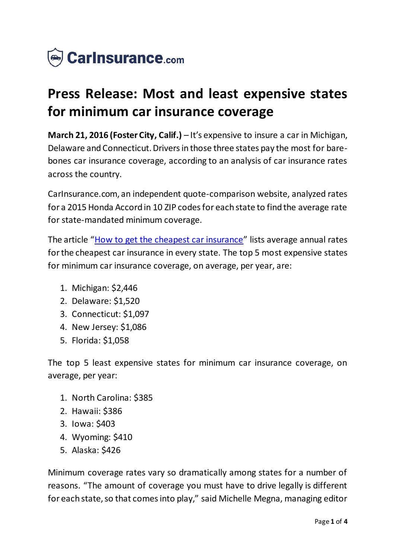

# **Press Release: Most and least expensive states for minimum car insurance coverage**

**March 21, 2016 (Foster City, Calif.)** – It's expensive to insure a car in Michigan, Delaware and Connecticut. Drivers in those three states pay the most for barebones car insurance coverage, according to an analysis of car insurance rates across the country.

CarInsurance.com, an independent quote-comparison website, analyzed rates for a 2015 Honda Accord in 10 ZIP codes for each state to find the average rate for state-mandated minimum coverage.

The article "[How to get the cheapest car insurance](https://www.carinsurance.com/cheapest-car-insurance.aspx)" lists average annual rates for the cheapest car insurance in every state. The top 5 most expensive states for minimum car insurance coverage, on average, per year, are:

- 1. Michigan: \$2,446
- 2. Delaware: \$1,520
- 3. Connecticut: \$1,097
- 4. New Jersey: \$1,086
- 5. Florida: \$1,058

The top 5 least expensive states for minimum car insurance coverage, on average, per year:

- 1. North Carolina: \$385
- 2. Hawaii: \$386
- 3. Iowa: \$403
- 4. Wyoming: \$410
- 5. Alaska: \$426

Minimum coverage rates vary so dramatically among states for a number of reasons. "The amount of coverage you must have to drive legally is different for each state, so that comes into play," said Michelle Megna, managing editor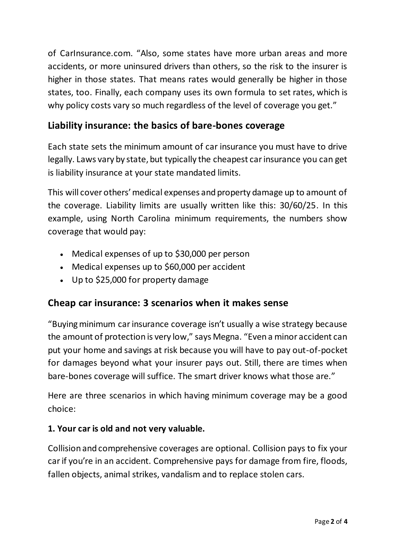of CarInsurance.com. "Also, some states have more urban areas and more accidents, or more uninsured drivers than others, so the risk to the insurer is higher in those states. That means rates would generally be higher in those states, too. Finally, each company uses its own formula to set rates, which is why policy costs vary so much regardless of the level of coverage you get."

## **Liability insurance: the basics of bare-bones coverage**

Each state sets the minimum amount of car insurance you must have to drive legally. Laws vary by state, but typically the cheapest car insurance you can get is liability insurance at your state mandated limits.

This will cover others' medical expenses and property damage up to amount of the coverage. Liability limits are usually written like this: 30/60/25. In this example, using North Carolina minimum requirements, the numbers show coverage that would pay:

- Medical expenses of up to \$30,000 per person
- Medical expenses up to \$60,000 per accident
- Up to \$25,000 for property damage

### **Cheap car insurance: 3 scenarios when it makes sense**

"Buying minimum car insurance coverage isn't usually a wise strategy because the amount of protection is very low," says Megna. "Even a minor accident can put your home and savings at risk because you will have to pay out-of-pocket for damages beyond what your insurer pays out. Still, there are times when bare-bones coverage will suffice. The smart driver knows what those are."

Here are three scenarios in which having minimum coverage may be a good choice:

#### **1. Your car is old and not very valuable.**

Collision and comprehensive coverages are optional. Collision pays to fix your car if you're in an accident. Comprehensive pays for damage from fire, floods, fallen objects, animal strikes, vandalism and to replace stolen cars.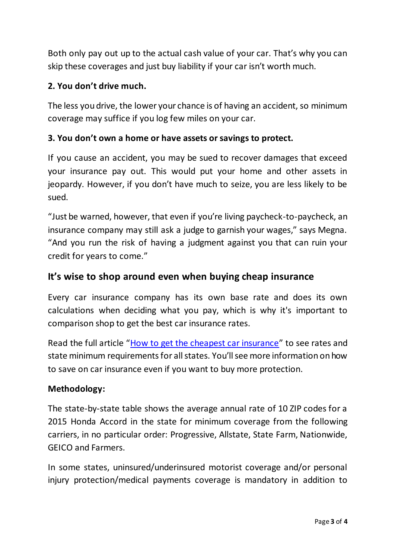Both only pay out up to the actual cash value of your car. That's why you can skip these coverages and just buy liability if your car isn't worth much.

#### **2. You don't drive much.**

The less you drive, the lower your chance is of having an accident, so minimum coverage may suffice if you log few miles on your car.

#### **3. You don't own a home or have assets or savings to protect.**

If you cause an accident, you may be sued to recover damages that exceed your insurance pay out. This would put your home and other assets in jeopardy. However, if you don't have much to seize, you are less likely to be sued.

"Just be warned, however, that even if you're living paycheck-to-paycheck, an insurance company may still ask a judge to garnish your wages," says Megna. "And you run the risk of having a judgment against you that can ruin your credit for years to come."

#### **It's wise to shop around even when buying cheap insurance**

Every car insurance company has its own base rate and does its own calculations when deciding what you pay, which is why it's important to comparison shop to get the best car insurance rates.

Read the full article "[How to get the cheapest car insurance](https://www.carinsurance.com/cheapest-car-insurance.aspx)" to see rates and state minimum requirements for all states. You'll see more information on how to save on car insurance even if you want to buy more protection.

#### **Methodology:**

The state-by-state table shows the average annual rate of 10 ZIP codes for a 2015 Honda Accord in the state for minimum coverage from the following carriers, in no particular order: Progressive, Allstate, State Farm, Nationwide, GEICO and Farmers.

In some states, uninsured/underinsured motorist coverage and/or personal injury protection/medical payments coverage is mandatory in addition to